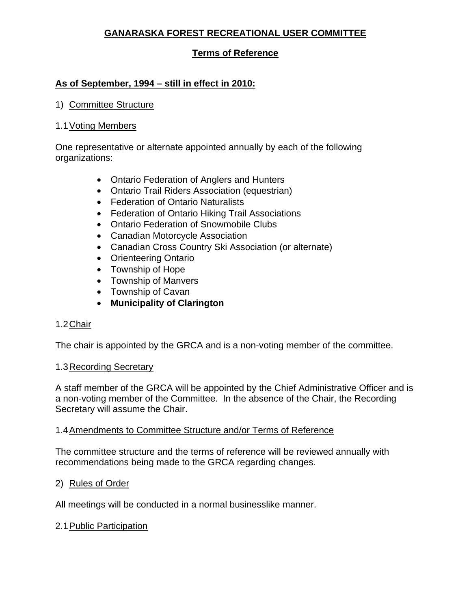# **GANARASKA FOREST RECREATIONAL USER COMMITTEE**

## **Terms of Reference**

## **As of September, 1994 – still in effect in 2010:**

### 1) Committee Structure

### 1.1 Voting Members

One representative or alternate appointed annually by each of the following organizations:

- Ontario Federation of Anglers and Hunters
- Ontario Trail Riders Association (equestrian)
- Federation of Ontario Naturalists
- Federation of Ontario Hiking Trail Associations
- Ontario Federation of Snowmobile Clubs
- Canadian Motorcycle Association
- Canadian Cross Country Ski Association (or alternate)
- Orienteering Ontario
- Township of Hope
- Township of Manvers
- Township of Cavan
- **Municipality of Clarington**

### 1.2 Chair

The chair is appointed by the GRCA and is a non-voting member of the committee.

#### 1.3Recording Secretary

A staff member of the GRCA will be appointed by the Chief Administrative Officer and is a non-voting member of the Committee. In the absence of the Chair, the Recording Secretary will assume the Chair.

### 1.4Amendments to Committee Structure and/or Terms of Reference

The committee structure and the terms of reference will be reviewed annually with recommendations being made to the GRCA regarding changes.

### 2) Rules of Order

All meetings will be conducted in a normal businesslike manner.

### 2.1Public Participation